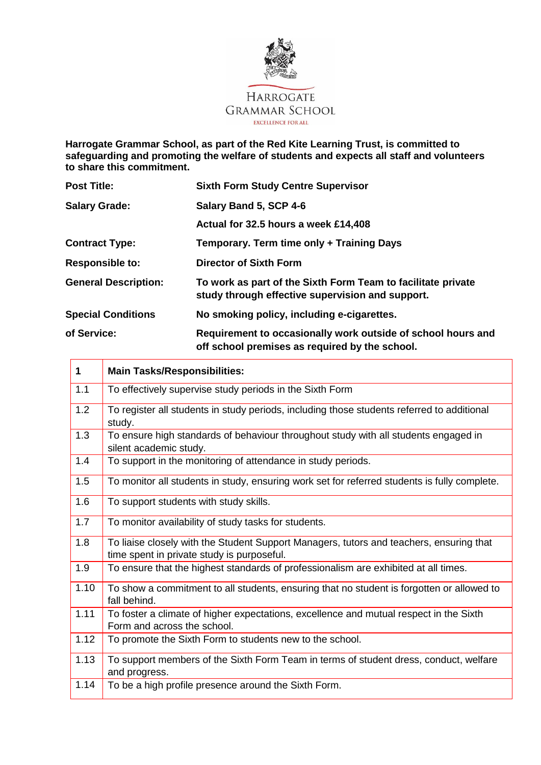

**Harrogate Grammar School, as part of the Red Kite Learning Trust, is committed to safeguarding and promoting the welfare of students and expects all staff and volunteers to share this commitment.**

| <b>Post Title:</b>          | <b>Sixth Form Study Centre Supervisor</b>                                                                        |
|-----------------------------|------------------------------------------------------------------------------------------------------------------|
| <b>Salary Grade:</b>        | Salary Band 5, SCP 4-6                                                                                           |
|                             | Actual for 32.5 hours a week £14,408                                                                             |
| <b>Contract Type:</b>       | Temporary. Term time only + Training Days                                                                        |
| <b>Responsible to:</b>      | <b>Director of Sixth Form</b>                                                                                    |
| <b>General Description:</b> | To work as part of the Sixth Form Team to facilitate private<br>study through effective supervision and support. |
| <b>Special Conditions</b>   | No smoking policy, including e-cigarettes.                                                                       |
| of Service:                 | Requirement to occasionally work outside of school hours and<br>off school premises as required by the school.   |

| 1    | <b>Main Tasks/Responsibilities:</b>                                                                                                   |
|------|---------------------------------------------------------------------------------------------------------------------------------------|
| 1.1  | To effectively supervise study periods in the Sixth Form                                                                              |
| 1.2  | To register all students in study periods, including those students referred to additional<br>study.                                  |
| 1.3  | To ensure high standards of behaviour throughout study with all students engaged in<br>silent academic study.                         |
| 1.4  | To support in the monitoring of attendance in study periods.                                                                          |
| 1.5  | To monitor all students in study, ensuring work set for referred students is fully complete.                                          |
| 1.6  | To support students with study skills.                                                                                                |
| 1.7  | To monitor availability of study tasks for students.                                                                                  |
| 1.8  | To liaise closely with the Student Support Managers, tutors and teachers, ensuring that<br>time spent in private study is purposeful. |
| 1.9  | To ensure that the highest standards of professionalism are exhibited at all times.                                                   |
| 1.10 | To show a commitment to all students, ensuring that no student is forgotten or allowed to<br>fall behind.                             |
| 1.11 | To foster a climate of higher expectations, excellence and mutual respect in the Sixth<br>Form and across the school.                 |
| 1.12 | To promote the Sixth Form to students new to the school.                                                                              |
| 1.13 | To support members of the Sixth Form Team in terms of student dress, conduct, welfare<br>and progress.                                |
| 1.14 | To be a high profile presence around the Sixth Form.                                                                                  |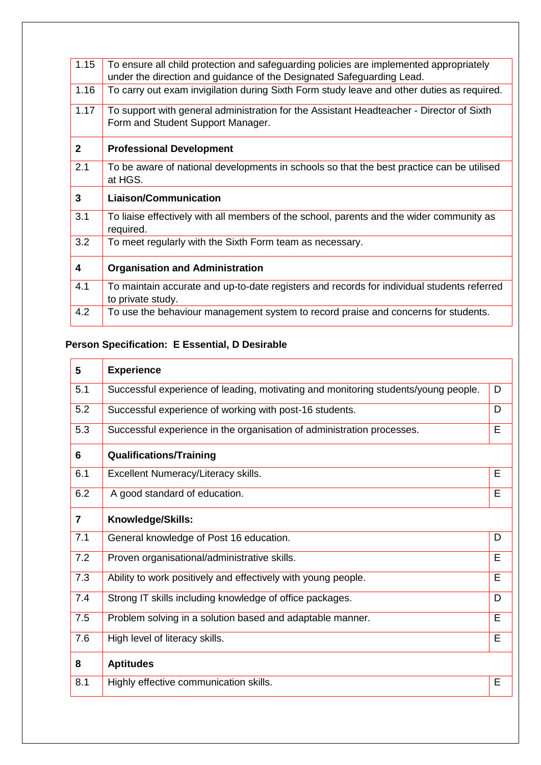| 1.15         | To ensure all child protection and safeguarding policies are implemented appropriately<br>under the direction and guidance of the Designated Safeguarding Lead. |
|--------------|-----------------------------------------------------------------------------------------------------------------------------------------------------------------|
| 1.16         | To carry out exam invigilation during Sixth Form study leave and other duties as required.                                                                      |
| 1.17         | To support with general administration for the Assistant Headteacher - Director of Sixth<br>Form and Student Support Manager.                                   |
| $\mathbf{2}$ | <b>Professional Development</b>                                                                                                                                 |
| 2.1          | To be aware of national developments in schools so that the best practice can be utilised<br>at HGS.                                                            |
|              |                                                                                                                                                                 |
| 3            | <b>Liaison/Communication</b>                                                                                                                                    |
| 3.1          | To liaise effectively with all members of the school, parents and the wider community as<br>required.                                                           |
| 3.2          | To meet regularly with the Sixth Form team as necessary.                                                                                                        |
| 4            | <b>Organisation and Administration</b>                                                                                                                          |
| 4.1          | To maintain accurate and up-to-date registers and records for individual students referred<br>to private study.                                                 |

## **Person Specification: E Essential, D Desirable**

| 5              | <b>Experience</b>                                                                  |   |
|----------------|------------------------------------------------------------------------------------|---|
| 5.1            | Successful experience of leading, motivating and monitoring students/young people. | D |
| 5.2            | Successful experience of working with post-16 students.                            | D |
| 5.3            | Successful experience in the organisation of administration processes.             | E |
| 6              | <b>Qualifications/Training</b>                                                     |   |
| 6.1            | Excellent Numeracy/Literacy skills.                                                | E |
| 6.2            | A good standard of education.                                                      | E |
| $\overline{7}$ | Knowledge/Skills:                                                                  |   |
| 7.1            | General knowledge of Post 16 education.                                            | D |
| 7.2            | Proven organisational/administrative skills.                                       | E |
| 7.3            | Ability to work positively and effectively with young people.                      | E |
| 7.4            | Strong IT skills including knowledge of office packages.                           | D |
| 7.5            | Problem solving in a solution based and adaptable manner.                          | E |
| 7.6            | High level of literacy skills.                                                     | E |
| 8              | <b>Aptitudes</b>                                                                   |   |
| 8.1            | Highly effective communication skills.                                             | E |